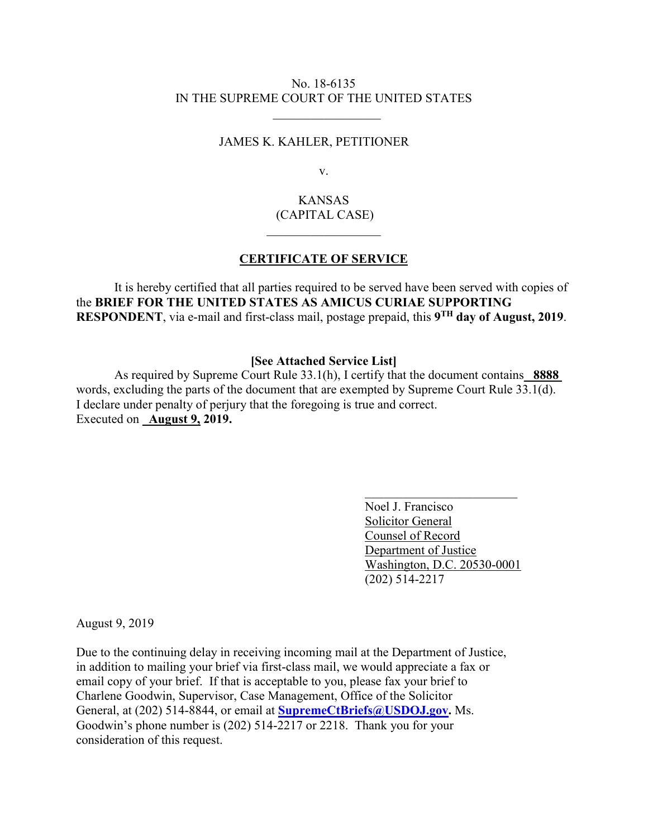## No. 18-6135 IN THE SUPREME COURT OF THE UNITED STATES

 $\overline{\phantom{a}}$  ,  $\overline{\phantom{a}}$  ,  $\overline{\phantom{a}}$  ,  $\overline{\phantom{a}}$  ,  $\overline{\phantom{a}}$  ,  $\overline{\phantom{a}}$  ,  $\overline{\phantom{a}}$  ,  $\overline{\phantom{a}}$  ,  $\overline{\phantom{a}}$  ,  $\overline{\phantom{a}}$  ,  $\overline{\phantom{a}}$  ,  $\overline{\phantom{a}}$  ,  $\overline{\phantom{a}}$  ,  $\overline{\phantom{a}}$  ,  $\overline{\phantom{a}}$  ,  $\overline{\phantom{a}}$ 

## JAMES K. KAHLER, PETITIONER

v.

# KANSAS (CAPITAL CASE)

## **CERTIFICATE OF SERVICE**

It is hereby certified that all parties required to be served have been served with copies of the **BRIEF FOR THE UNITED STATES AS AMICUS CURIAE SUPPORTING RESPONDENT**, via e-mail and first-class mail, postage prepaid, this **9TH day of August, 2019**.

#### **[See Attached Service List]**

As required by Supreme Court Rule 33.1(h), I certify that the document contains\_ **8888**  words, excluding the parts of the document that are exempted by Supreme Court Rule 33.1(d). I declare under penalty of perjury that the foregoing is true and correct. Executed on **August 9, 2019.** 

> Noel J. Francisco Solicitor General Counsel of Record Department of Justice Washington, D.C. 20530-0001 (202) 514-2217

August 9, 2019

Due to the continuing delay in receiving incoming mail at the Department of Justice, in addition to mailing your brief via first-class mail, we would appreciate a fax or email copy of your brief. If that is acceptable to you, please fax your brief to Charlene Goodwin, Supervisor, Case Management, Office of the Solicitor General, at (202) 514-8844, or email at **SupremeCtBriefs@USDOJ.gov.** Ms. Goodwin's phone number is (202) 514-2217 or 2218. Thank you for your consideration of this request.